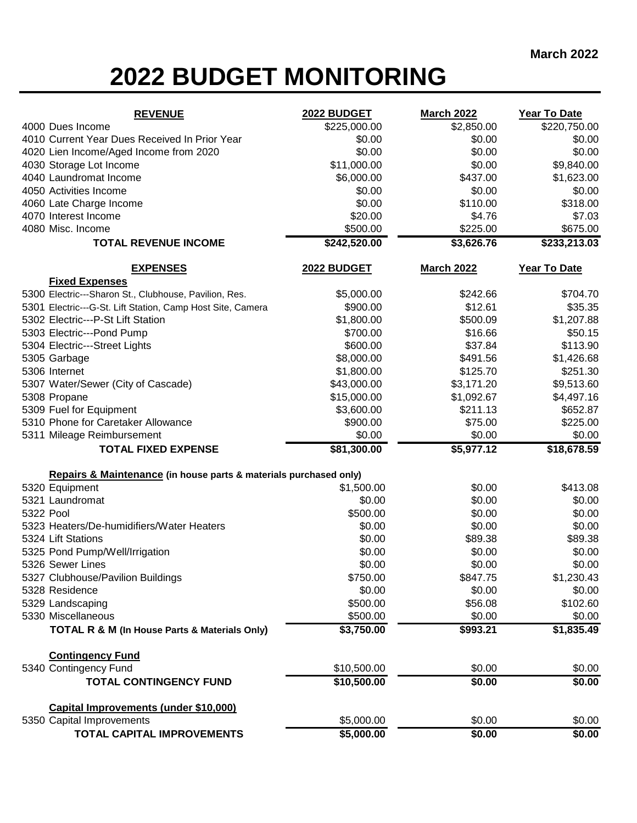## **2022 BUDGET MONITORING**

| <b>REVENUE</b>                                                    | 2022 BUDGET  | <b>March 2022</b> | Year To Date   |
|-------------------------------------------------------------------|--------------|-------------------|----------------|
| 4000 Dues Income                                                  | \$225,000.00 | \$2,850.00        | \$220,750.00   |
| 4010 Current Year Dues Received In Prior Year                     | \$0.00       | \$0.00            | \$0.00         |
| 4020 Lien Income/Aged Income from 2020                            | \$0.00       | \$0.00            | \$0.00         |
| 4030 Storage Lot Income                                           | \$11,000.00  | \$0.00            | \$9,840.00     |
| 4040 Laundromat Income                                            | \$6,000.00   | \$437.00          | \$1,623.00     |
| 4050 Activities Income                                            | \$0.00       | \$0.00            | \$0.00         |
| 4060 Late Charge Income                                           | \$0.00       | \$110.00          | \$318.00       |
| 4070 Interest Income                                              | \$20.00      | \$4.76            | \$7.03         |
| 4080 Misc. Income                                                 | \$500.00     | \$225.00          | \$675.00       |
| <b>TOTAL REVENUE INCOME</b>                                       | \$242,520.00 | \$3,626.76        | \$233,213.03   |
| <b>EXPENSES</b>                                                   | 2022 BUDGET  | <b>March 2022</b> | Year To Date   |
| <b>Fixed Expenses</b>                                             |              |                   |                |
| 5300 Electric---Sharon St., Clubhouse, Pavilion, Res.             | \$5,000.00   | \$242.66          | \$704.70       |
| 5301 Electric---G-St. Lift Station, Camp Host Site, Camera        | \$900.00     | \$12.61           | \$35.35        |
| 5302 Electric---P-St Lift Station                                 | \$1,800.00   | \$500.09          | \$1,207.88     |
| 5303 Electric---Pond Pump                                         | \$700.00     | \$16.66           | \$50.15        |
| 5304 Electric---Street Lights                                     | \$600.00     | \$37.84           | \$113.90       |
| 5305 Garbage                                                      | \$8,000.00   | \$491.56          | \$1,426.68     |
| 5306 Internet                                                     | \$1,800.00   | \$125.70          | \$251.30       |
| 5307 Water/Sewer (City of Cascade)                                | \$43,000.00  | \$3,171.20        | \$9,513.60     |
| 5308 Propane                                                      | \$15,000.00  | \$1,092.67        | \$4,497.16     |
| 5309 Fuel for Equipment                                           | \$3,600.00   | \$211.13          | \$652.87       |
| 5310 Phone for Caretaker Allowance                                | \$900.00     | \$75.00           | \$225.00       |
| 5311 Mileage Reimbursement                                        | \$0.00       | \$0.00            | \$0.00         |
| <b>TOTAL FIXED EXPENSE</b>                                        | \$81,300.00  | \$5,977.12        | \$18,678.59    |
| Repairs & Maintenance (in house parts & materials purchased only) |              |                   |                |
| 5320 Equipment                                                    | \$1,500.00   | \$0.00            | \$413.08       |
| 5321 Laundromat                                                   | \$0.00       | \$0.00            | \$0.00         |
| 5322 Pool                                                         | \$500.00     | \$0.00            | \$0.00         |
| 5323 Heaters/De-humidifiers/Water Heaters                         | \$0.00       | \$0.00            | \$0.00         |
| 5324 Lift Stations                                                | \$0.00       | \$89.38           | \$89.38        |
| 5325 Pond Pump/Well/Irrigation                                    | \$0.00       | \$0.00            | \$0.00         |
| 5326 Sewer Lines                                                  | \$0.00       | \$0.00            | \$0.00         |
| 5327 Clubhouse/Pavilion Buildings                                 | \$750.00     | \$847.75          | \$1,230.43     |
| 5328 Residence                                                    | \$0.00       | \$0.00            | \$0.00         |
| 5329 Landscaping                                                  | \$500.00     | \$56.08           | \$102.60       |
| 5330 Miscellaneous                                                | \$500.00     | \$0.00            | \$0.00         |
| TOTAL R & M (In House Parts & Materials Only)                     | \$3,750.00   | \$993.21          | \$1,835.49     |
| <b>Contingency Fund</b>                                           |              |                   |                |
| 5340 Contingency Fund                                             | \$10,500.00  | \$0.00            | \$0.00         |
| <b>TOTAL CONTINGENCY FUND</b>                                     | \$10,500.00  | \$0.00            | $\sqrt{$0.00}$ |
| Capital Improvements (under \$10,000)                             |              |                   |                |
| 5350 Capital Improvements                                         | \$5,000.00   | \$0.00            | \$0.00         |
| TOTAL CAPITAL IMPROVEMENTS                                        | \$5,000.00   | \$0.00            | \$0.00         |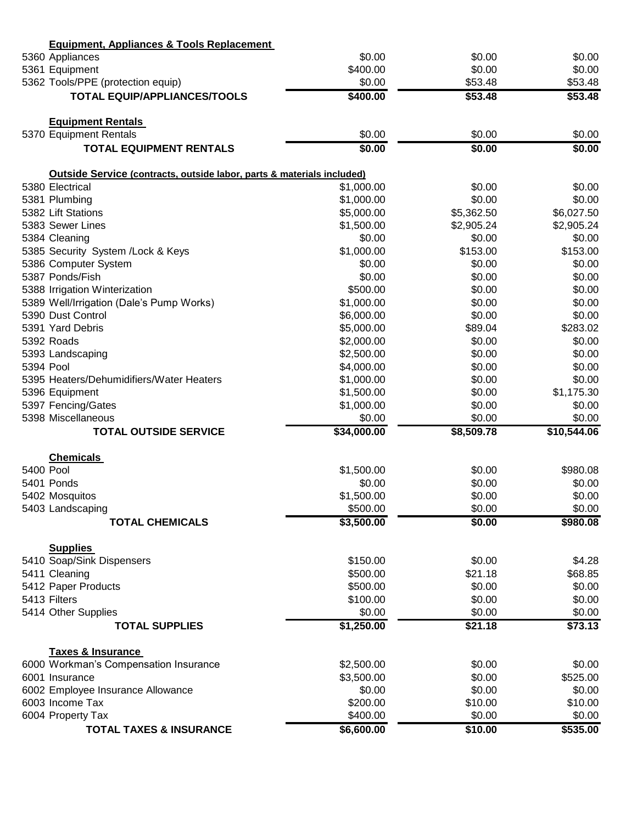|           | <b>Equipment, Appliances &amp; Tools Replacement</b>                   |             |            |             |
|-----------|------------------------------------------------------------------------|-------------|------------|-------------|
|           | 5360 Appliances                                                        | \$0.00      | \$0.00     | \$0.00      |
|           | 5361 Equipment                                                         | \$400.00    | \$0.00     | \$0.00      |
|           | 5362 Tools/PPE (protection equip)                                      | \$0.00      | \$53.48    | \$53.48     |
|           | <b>TOTAL EQUIP/APPLIANCES/TOOLS</b>                                    | \$400.00    | \$53.48    | \$53.48     |
|           | <b>Equipment Rentals</b>                                               |             |            |             |
|           | 5370 Equipment Rentals                                                 | \$0.00      | \$0.00     | \$0.00      |
|           | <b>TOTAL EQUIPMENT RENTALS</b>                                         | \$0.00      | \$0.00     | \$0.00      |
|           | Outside Service (contracts, outside labor, parts & materials included) |             |            |             |
|           | 5380 Electrical                                                        | \$1,000.00  | \$0.00     | \$0.00      |
|           | 5381 Plumbing                                                          | \$1,000.00  | \$0.00     | \$0.00      |
|           | 5382 Lift Stations                                                     | \$5,000.00  | \$5,362.50 | \$6,027.50  |
|           | 5383 Sewer Lines                                                       | \$1,500.00  | \$2,905.24 | \$2,905.24  |
|           | 5384 Cleaning                                                          | \$0.00      | \$0.00     | \$0.00      |
|           | 5385 Security System /Lock & Keys                                      | \$1,000.00  | \$153.00   | \$153.00    |
|           | 5386 Computer System                                                   | \$0.00      | \$0.00     | \$0.00      |
|           | 5387 Ponds/Fish                                                        | \$0.00      | \$0.00     | \$0.00      |
|           | 5388 Irrigation Winterization                                          | \$500.00    | \$0.00     | \$0.00      |
|           | 5389 Well/Irrigation (Dale's Pump Works)                               | \$1,000.00  | \$0.00     | \$0.00      |
|           | 5390 Dust Control                                                      | \$6,000.00  | \$0.00     | \$0.00      |
|           | 5391 Yard Debris                                                       | \$5,000.00  | \$89.04    | \$283.02    |
|           | 5392 Roads                                                             | \$2,000.00  | \$0.00     | \$0.00      |
|           | 5393 Landscaping                                                       | \$2,500.00  | \$0.00     | \$0.00      |
| 5394 Pool |                                                                        | \$4,000.00  | \$0.00     | \$0.00      |
|           | 5395 Heaters/Dehumidifiers/Water Heaters                               | \$1,000.00  | \$0.00     | \$0.00      |
|           | 5396 Equipment                                                         | \$1,500.00  | \$0.00     | \$1,175.30  |
|           | 5397 Fencing/Gates                                                     | \$1,000.00  | \$0.00     | \$0.00      |
|           | 5398 Miscellaneous                                                     | \$0.00      | \$0.00     | \$0.00      |
|           | <b>TOTAL OUTSIDE SERVICE</b>                                           | \$34,000.00 | \$8,509.78 | \$10,544.06 |
|           | <b>Chemicals</b>                                                       |             |            |             |
| 5400 Pool |                                                                        | \$1,500.00  | \$0.00     | \$980.08    |
|           | 5401 Ponds                                                             | \$0.00      | \$0.00     | \$0.00      |
|           | 5402 Mosquitos                                                         | \$1,500.00  | \$0.00     | \$0.00      |
|           | 5403 Landscaping                                                       | \$500.00    | \$0.00     | \$0.00      |
|           | <b>TOTAL CHEMICALS</b>                                                 | \$3,500.00  | \$0.00     | \$980.08    |
|           | <b>Supplies</b>                                                        |             |            |             |
|           | 5410 Soap/Sink Dispensers                                              | \$150.00    | \$0.00     | \$4.28      |
|           | 5411 Cleaning                                                          | \$500.00    | \$21.18    | \$68.85     |
|           | 5412 Paper Products                                                    | \$500.00    | \$0.00     | \$0.00      |
|           | 5413 Filters                                                           | \$100.00    | \$0.00     | \$0.00      |
|           | 5414 Other Supplies                                                    | \$0.00      | \$0.00     | \$0.00      |
|           | <b>TOTAL SUPPLIES</b>                                                  | \$1,250.00  | \$21.18    | \$73.13     |
|           | <b>Taxes &amp; Insurance</b>                                           | \$2,500.00  | \$0.00     | \$0.00      |
|           | 6000 Workman's Compensation Insurance                                  | \$3,500.00  | \$0.00     | \$525.00    |
|           | 6001 Insurance                                                         | \$0.00      | \$0.00     | \$0.00      |
|           | 6002 Employee Insurance Allowance<br>6003 Income Tax                   | \$200.00    | \$10.00    | \$10.00     |
|           | 6004 Property Tax                                                      | \$400.00    | \$0.00     | \$0.00      |
|           | <b>TOTAL TAXES &amp; INSURANCE</b>                                     | \$6,600.00  | \$10.00    |             |
|           |                                                                        |             |            | \$535.00    |